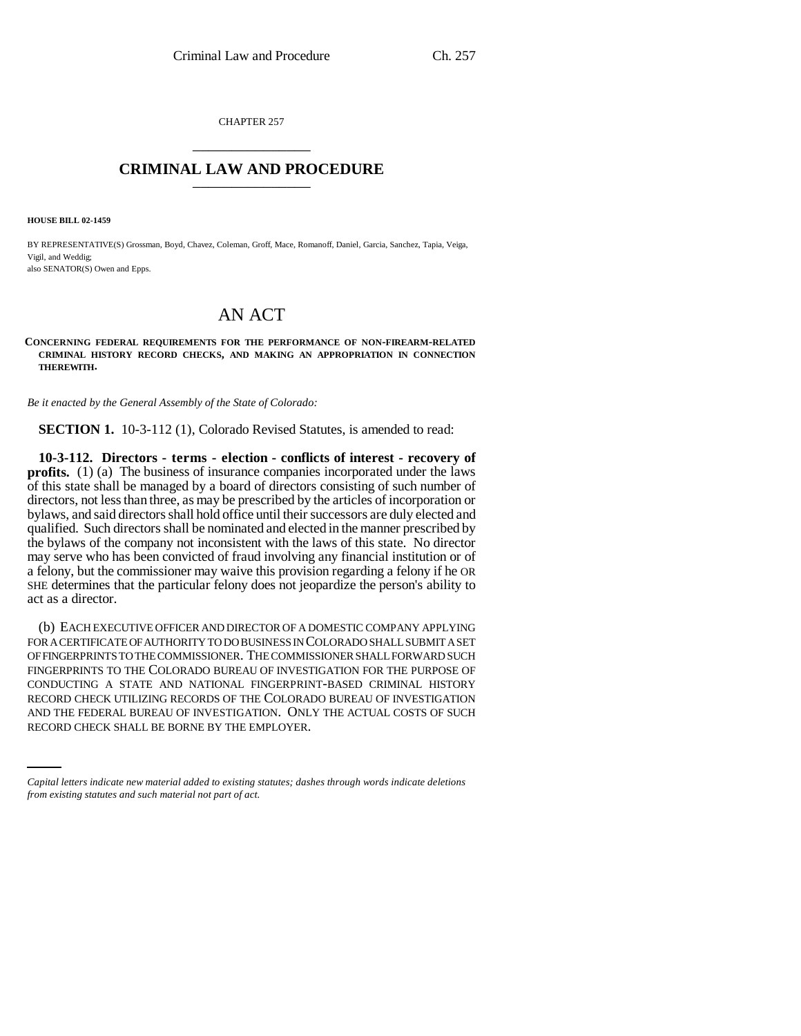CHAPTER 257 \_\_\_\_\_\_\_\_\_\_\_\_\_\_\_

# **CRIMINAL LAW AND PROCEDURE** \_\_\_\_\_\_\_\_\_\_\_\_\_\_\_

**HOUSE BILL 02-1459**

BY REPRESENTATIVE(S) Grossman, Boyd, Chavez, Coleman, Groff, Mace, Romanoff, Daniel, Garcia, Sanchez, Tapia, Veiga, Vigil, and Weddig; also SENATOR(S) Owen and Epps.

# AN ACT

#### **CONCERNING FEDERAL REQUIREMENTS FOR THE PERFORMANCE OF NON-FIREARM-RELATED CRIMINAL HISTORY RECORD CHECKS, AND MAKING AN APPROPRIATION IN CONNECTION THEREWITH.**

*Be it enacted by the General Assembly of the State of Colorado:*

**SECTION 1.** 10-3-112 (1), Colorado Revised Statutes, is amended to read:

**10-3-112. Directors - terms - election - conflicts of interest - recovery of profits.** (1) (a) The business of insurance companies incorporated under the laws of this state shall be managed by a board of directors consisting of such number of directors, not less than three, as may be prescribed by the articles of incorporation or bylaws, and said directors shall hold office until their successors are duly elected and qualified. Such directors shall be nominated and elected in the manner prescribed by the bylaws of the company not inconsistent with the laws of this state. No director may serve who has been convicted of fraud involving any financial institution or of a felony, but the commissioner may waive this provision regarding a felony if he OR SHE determines that the particular felony does not jeopardize the person's ability to act as a director.

RECORD CHECK UTILIZING RECORDS OF THE COLORADO BUREAU OF INVESTIGATION (b) EACH EXECUTIVE OFFICER AND DIRECTOR OF A DOMESTIC COMPANY APPLYING FOR A CERTIFICATE OF AUTHORITY TO DO BUSINESS IN COLORADO SHALL SUBMIT A SET OF FINGERPRINTS TO THE COMMISSIONER. THE COMMISSIONER SHALL FORWARD SUCH FINGERPRINTS TO THE COLORADO BUREAU OF INVESTIGATION FOR THE PURPOSE OF CONDUCTING A STATE AND NATIONAL FINGERPRINT-BASED CRIMINAL HISTORY AND THE FEDERAL BUREAU OF INVESTIGATION. ONLY THE ACTUAL COSTS OF SUCH RECORD CHECK SHALL BE BORNE BY THE EMPLOYER.

*Capital letters indicate new material added to existing statutes; dashes through words indicate deletions from existing statutes and such material not part of act.*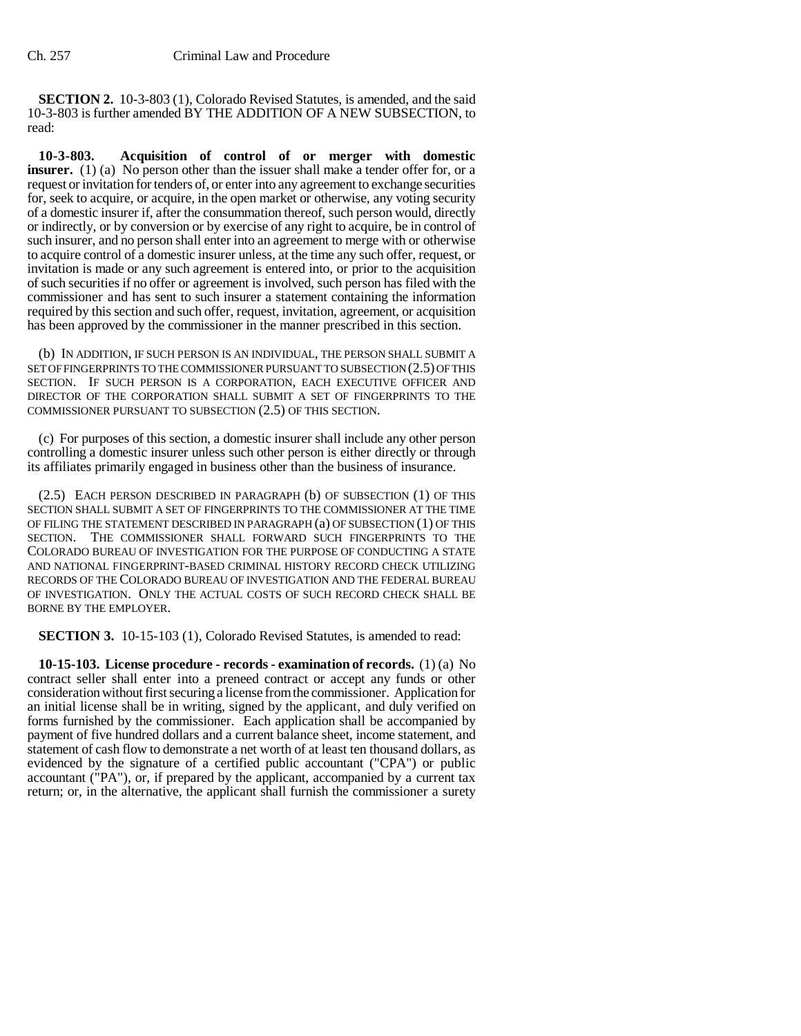**SECTION 2.** 10-3-803 (1), Colorado Revised Statutes, is amended, and the said 10-3-803 is further amended BY THE ADDITION OF A NEW SUBSECTION, to read:

**10-3-803. Acquisition of control of or merger with domestic insurer.** (1) (a) No person other than the issuer shall make a tender offer for, or a request or invitation for tenders of, or enter into any agreement to exchange securities for, seek to acquire, or acquire, in the open market or otherwise, any voting security of a domestic insurer if, after the consummation thereof, such person would, directly or indirectly, or by conversion or by exercise of any right to acquire, be in control of such insurer, and no person shall enter into an agreement to merge with or otherwise to acquire control of a domestic insurer unless, at the time any such offer, request, or invitation is made or any such agreement is entered into, or prior to the acquisition of such securities if no offer or agreement is involved, such person has filed with the commissioner and has sent to such insurer a statement containing the information required by this section and such offer, request, invitation, agreement, or acquisition has been approved by the commissioner in the manner prescribed in this section.

(b) IN ADDITION, IF SUCH PERSON IS AN INDIVIDUAL, THE PERSON SHALL SUBMIT A SET OF FINGERPRINTS TO THE COMMISSIONER PURSUANT TO SUBSECTION (2.5) OF THIS SECTION. IF SUCH PERSON IS A CORPORATION, EACH EXECUTIVE OFFICER AND DIRECTOR OF THE CORPORATION SHALL SUBMIT A SET OF FINGERPRINTS TO THE COMMISSIONER PURSUANT TO SUBSECTION (2.5) OF THIS SECTION.

(c) For purposes of this section, a domestic insurer shall include any other person controlling a domestic insurer unless such other person is either directly or through its affiliates primarily engaged in business other than the business of insurance.

(2.5) EACH PERSON DESCRIBED IN PARAGRAPH (b) OF SUBSECTION (1) OF THIS SECTION SHALL SUBMIT A SET OF FINGERPRINTS TO THE COMMISSIONER AT THE TIME OF FILING THE STATEMENT DESCRIBED IN PARAGRAPH (a) OF SUBSECTION (1) OF THIS SECTION. THE COMMISSIONER SHALL FORWARD SUCH FINGERPRINTS TO THE COLORADO BUREAU OF INVESTIGATION FOR THE PURPOSE OF CONDUCTING A STATE AND NATIONAL FINGERPRINT-BASED CRIMINAL HISTORY RECORD CHECK UTILIZING RECORDS OF THE COLORADO BUREAU OF INVESTIGATION AND THE FEDERAL BUREAU OF INVESTIGATION. ONLY THE ACTUAL COSTS OF SUCH RECORD CHECK SHALL BE BORNE BY THE EMPLOYER.

**SECTION 3.** 10-15-103 (1), Colorado Revised Statutes, is amended to read:

**10-15-103. License procedure - records - examination of records.** (1) (a) No contract seller shall enter into a preneed contract or accept any funds or other consideration without first securing a license from the commissioner. Application for an initial license shall be in writing, signed by the applicant, and duly verified on forms furnished by the commissioner. Each application shall be accompanied by payment of five hundred dollars and a current balance sheet, income statement, and statement of cash flow to demonstrate a net worth of at least ten thousand dollars, as evidenced by the signature of a certified public accountant ("CPA") or public accountant ("PA"), or, if prepared by the applicant, accompanied by a current tax return; or, in the alternative, the applicant shall furnish the commissioner a surety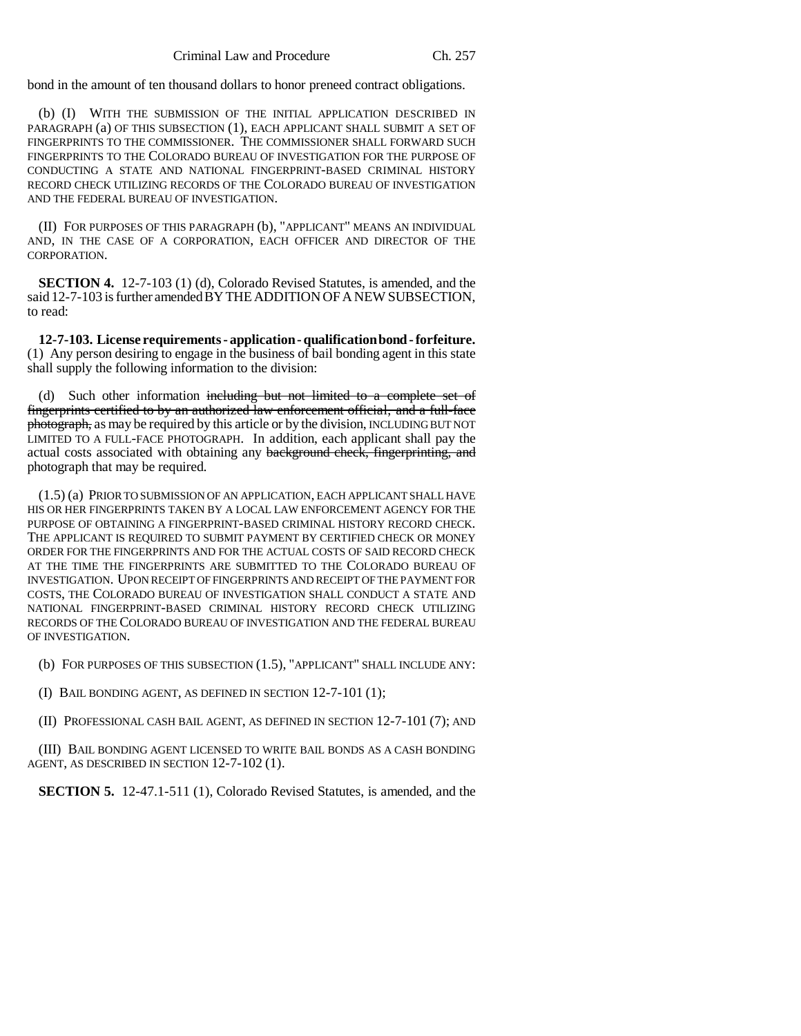bond in the amount of ten thousand dollars to honor preneed contract obligations.

(b) (I) WITH THE SUBMISSION OF THE INITIAL APPLICATION DESCRIBED IN PARAGRAPH (a) OF THIS SUBSECTION (1), EACH APPLICANT SHALL SUBMIT A SET OF FINGERPRINTS TO THE COMMISSIONER. THE COMMISSIONER SHALL FORWARD SUCH FINGERPRINTS TO THE COLORADO BUREAU OF INVESTIGATION FOR THE PURPOSE OF CONDUCTING A STATE AND NATIONAL FINGERPRINT-BASED CRIMINAL HISTORY RECORD CHECK UTILIZING RECORDS OF THE COLORADO BUREAU OF INVESTIGATION AND THE FEDERAL BUREAU OF INVESTIGATION.

(II) FOR PURPOSES OF THIS PARAGRAPH (b), "APPLICANT" MEANS AN INDIVIDUAL AND, IN THE CASE OF A CORPORATION, EACH OFFICER AND DIRECTOR OF THE CORPORATION.

**SECTION 4.** 12-7-103 (1) (d), Colorado Revised Statutes, is amended, and the said 12-7-103 is further amended BY THE ADDITION OF A NEW SUBSECTION, to read:

**12-7-103. License requirements - application - qualification bond - forfeiture.** (1) Any person desiring to engage in the business of bail bonding agent in this state shall supply the following information to the division:

(d) Such other information including but not limited to a complete set of fingerprints certified to by an authorized law enforcement official, and a full-face photograph, as may be required by this article or by the division, INCLUDING BUT NOT LIMITED TO A FULL-FACE PHOTOGRAPH. In addition, each applicant shall pay the actual costs associated with obtaining any background check, fingerprinting, and photograph that may be required.

(1.5) (a) PRIOR TO SUBMISSION OF AN APPLICATION, EACH APPLICANT SHALL HAVE HIS OR HER FINGERPRINTS TAKEN BY A LOCAL LAW ENFORCEMENT AGENCY FOR THE PURPOSE OF OBTAINING A FINGERPRINT-BASED CRIMINAL HISTORY RECORD CHECK. THE APPLICANT IS REQUIRED TO SUBMIT PAYMENT BY CERTIFIED CHECK OR MONEY ORDER FOR THE FINGERPRINTS AND FOR THE ACTUAL COSTS OF SAID RECORD CHECK AT THE TIME THE FINGERPRINTS ARE SUBMITTED TO THE COLORADO BUREAU OF INVESTIGATION. UPON RECEIPT OF FINGERPRINTS AND RECEIPT OF THE PAYMENT FOR COSTS, THE COLORADO BUREAU OF INVESTIGATION SHALL CONDUCT A STATE AND NATIONAL FINGERPRINT-BASED CRIMINAL HISTORY RECORD CHECK UTILIZING RECORDS OF THE COLORADO BUREAU OF INVESTIGATION AND THE FEDERAL BUREAU OF INVESTIGATION.

(b) FOR PURPOSES OF THIS SUBSECTION (1.5), "APPLICANT" SHALL INCLUDE ANY:

(I) BAIL BONDING AGENT, AS DEFINED IN SECTION 12-7-101 (1);

(II) PROFESSIONAL CASH BAIL AGENT, AS DEFINED IN SECTION 12-7-101 (7); AND

(III) BAIL BONDING AGENT LICENSED TO WRITE BAIL BONDS AS A CASH BONDING AGENT, AS DESCRIBED IN SECTION 12-7-102 (1).

**SECTION 5.** 12-47.1-511 (1), Colorado Revised Statutes, is amended, and the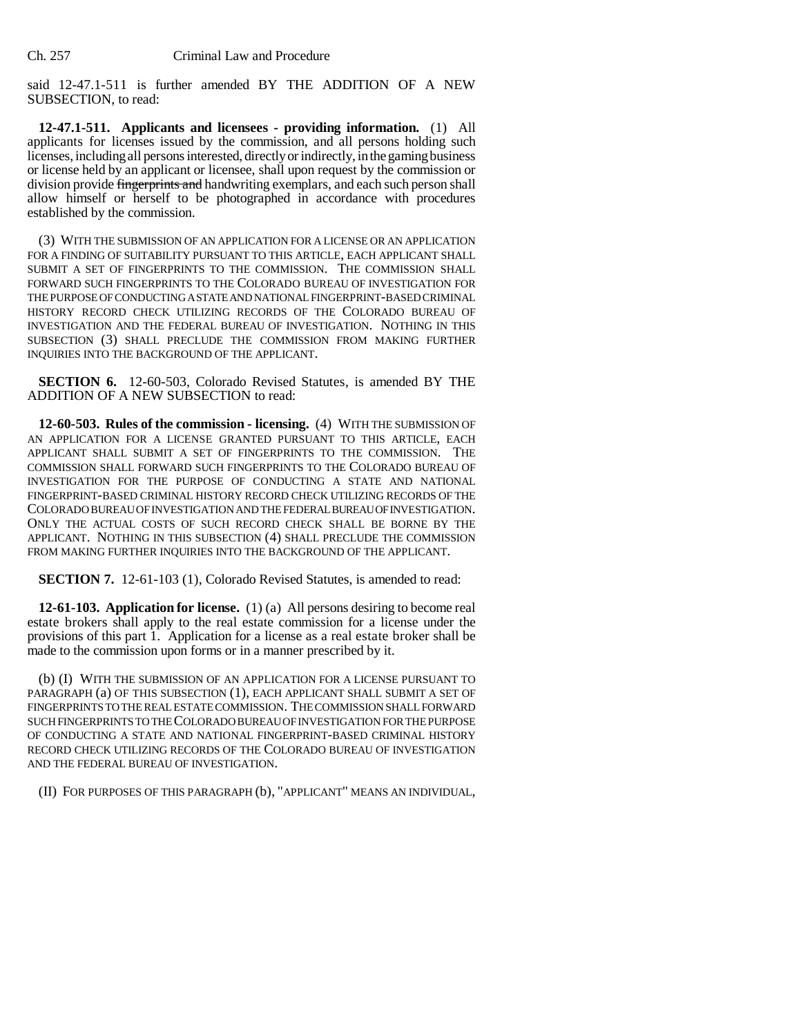said 12-47.1-511 is further amended BY THE ADDITION OF A NEW SUBSECTION, to read:

**12-47.1-511. Applicants and licensees - providing information.** (1) All applicants for licenses issued by the commission, and all persons holding such licenses, including all persons interested, directly or indirectly, in the gaming business or license held by an applicant or licensee, shall upon request by the commission or division provide fingerprints and handwriting exemplars, and each such person shall allow himself or herself to be photographed in accordance with procedures established by the commission.

(3) WITH THE SUBMISSION OF AN APPLICATION FOR A LICENSE OR AN APPLICATION FOR A FINDING OF SUITABILITY PURSUANT TO THIS ARTICLE, EACH APPLICANT SHALL SUBMIT A SET OF FINGERPRINTS TO THE COMMISSION. THE COMMISSION SHALL FORWARD SUCH FINGERPRINTS TO THE COLORADO BUREAU OF INVESTIGATION FOR THE PURPOSE OF CONDUCTING A STATE AND NATIONAL FINGERPRINT-BASED CRIMINAL HISTORY RECORD CHECK UTILIZING RECORDS OF THE COLORADO BUREAU OF INVESTIGATION AND THE FEDERAL BUREAU OF INVESTIGATION. NOTHING IN THIS SUBSECTION (3) SHALL PRECLUDE THE COMMISSION FROM MAKING FURTHER INQUIRIES INTO THE BACKGROUND OF THE APPLICANT.

**SECTION 6.** 12-60-503, Colorado Revised Statutes, is amended BY THE ADDITION OF A NEW SUBSECTION to read:

**12-60-503. Rules of the commission - licensing.** (4) WITH THE SUBMISSION OF AN APPLICATION FOR A LICENSE GRANTED PURSUANT TO THIS ARTICLE, EACH APPLICANT SHALL SUBMIT A SET OF FINGERPRINTS TO THE COMMISSION. THE COMMISSION SHALL FORWARD SUCH FINGERPRINTS TO THE COLORADO BUREAU OF INVESTIGATION FOR THE PURPOSE OF CONDUCTING A STATE AND NATIONAL FINGERPRINT-BASED CRIMINAL HISTORY RECORD CHECK UTILIZING RECORDS OF THE COLORADO BUREAU OF INVESTIGATION AND THE FEDERAL BUREAU OF INVESTIGATION. ONLY THE ACTUAL COSTS OF SUCH RECORD CHECK SHALL BE BORNE BY THE APPLICANT. NOTHING IN THIS SUBSECTION (4) SHALL PRECLUDE THE COMMISSION FROM MAKING FURTHER INQUIRIES INTO THE BACKGROUND OF THE APPLICANT.

**SECTION 7.** 12-61-103 (1), Colorado Revised Statutes, is amended to read:

**12-61-103. Application for license.** (1) (a) All persons desiring to become real estate brokers shall apply to the real estate commission for a license under the provisions of this part 1. Application for a license as a real estate broker shall be made to the commission upon forms or in a manner prescribed by it.

(b) (I) WITH THE SUBMISSION OF AN APPLICATION FOR A LICENSE PURSUANT TO PARAGRAPH (a) OF THIS SUBSECTION (1), EACH APPLICANT SHALL SUBMIT A SET OF FINGERPRINTS TO THE REAL ESTATE COMMISSION. THE COMMISSION SHALL FORWARD SUCH FINGERPRINTS TO THE COLORADO BUREAU OF INVESTIGATION FOR THE PURPOSE OF CONDUCTING A STATE AND NATIONAL FINGERPRINT-BASED CRIMINAL HISTORY RECORD CHECK UTILIZING RECORDS OF THE COLORADO BUREAU OF INVESTIGATION AND THE FEDERAL BUREAU OF INVESTIGATION.

(II) FOR PURPOSES OF THIS PARAGRAPH (b), "APPLICANT" MEANS AN INDIVIDUAL,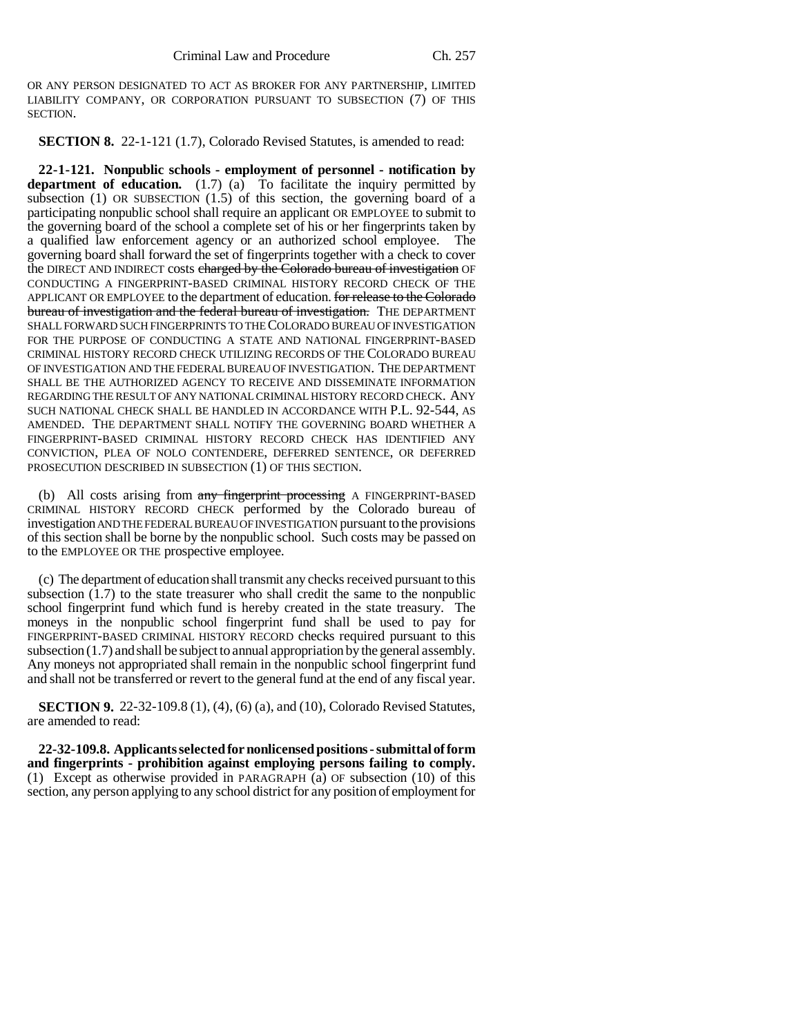OR ANY PERSON DESIGNATED TO ACT AS BROKER FOR ANY PARTNERSHIP, LIMITED LIABILITY COMPANY, OR CORPORATION PURSUANT TO SUBSECTION (7) OF THIS SECTION.

**SECTION 8.** 22-1-121 (1.7), Colorado Revised Statutes, is amended to read:

**22-1-121. Nonpublic schools - employment of personnel - notification by** department of education. (1.7) (a) To facilitate the inquiry permitted by subsection (1) OR SUBSECTION (1.5) of this section, the governing board of a participating nonpublic school shall require an applicant OR EMPLOYEE to submit to the governing board of the school a complete set of his or her fingerprints taken by a qualified law enforcement agency or an authorized school employee. The governing board shall forward the set of fingerprints together with a check to cover the DIRECT AND INDIRECT costs charged by the Colorado bureau of investigation OF CONDUCTING A FINGERPRINT-BASED CRIMINAL HISTORY RECORD CHECK OF THE APPLICANT OR EMPLOYEE to the department of education. for release to the Colorado bureau of investigation and the federal bureau of investigation. THE DEPARTMENT SHALL FORWARD SUCH FINGERPRINTS TO THE COLORADO BUREAU OF INVESTIGATION FOR THE PURPOSE OF CONDUCTING A STATE AND NATIONAL FINGERPRINT-BASED CRIMINAL HISTORY RECORD CHECK UTILIZING RECORDS OF THE COLORADO BUREAU OF INVESTIGATION AND THE FEDERAL BUREAU OF INVESTIGATION. THE DEPARTMENT SHALL BE THE AUTHORIZED AGENCY TO RECEIVE AND DISSEMINATE INFORMATION REGARDING THE RESULT OF ANY NATIONAL CRIMINAL HISTORY RECORD CHECK. ANY SUCH NATIONAL CHECK SHALL BE HANDLED IN ACCORDANCE WITH P.L. 92-544, AS AMENDED. THE DEPARTMENT SHALL NOTIFY THE GOVERNING BOARD WHETHER A FINGERPRINT-BASED CRIMINAL HISTORY RECORD CHECK HAS IDENTIFIED ANY CONVICTION, PLEA OF NOLO CONTENDERE, DEFERRED SENTENCE, OR DEFERRED PROSECUTION DESCRIBED IN SUBSECTION (1) OF THIS SECTION.

(b) All costs arising from any fingerprint processing A FINGERPRINT-BASED CRIMINAL HISTORY RECORD CHECK performed by the Colorado bureau of investigation AND THE FEDERAL BUREAU OF INVESTIGATION pursuant to the provisions of this section shall be borne by the nonpublic school. Such costs may be passed on to the EMPLOYEE OR THE prospective employee.

(c) The department of education shall transmit any checks received pursuant to this subsection (1.7) to the state treasurer who shall credit the same to the nonpublic school fingerprint fund which fund is hereby created in the state treasury. The moneys in the nonpublic school fingerprint fund shall be used to pay for FINGERPRINT-BASED CRIMINAL HISTORY RECORD checks required pursuant to this subsection (1.7) and shall be subject to annual appropriation by the general assembly. Any moneys not appropriated shall remain in the nonpublic school fingerprint fund and shall not be transferred or revert to the general fund at the end of any fiscal year.

**SECTION 9.** 22-32-109.8 (1), (4), (6) (a), and (10), Colorado Revised Statutes, are amended to read:

**22-32-109.8. Applicants selected for nonlicensed positions - submittal of form and fingerprints - prohibition against employing persons failing to comply.** (1) Except as otherwise provided in PARAGRAPH (a) OF subsection (10) of this section, any person applying to any school district for any position of employment for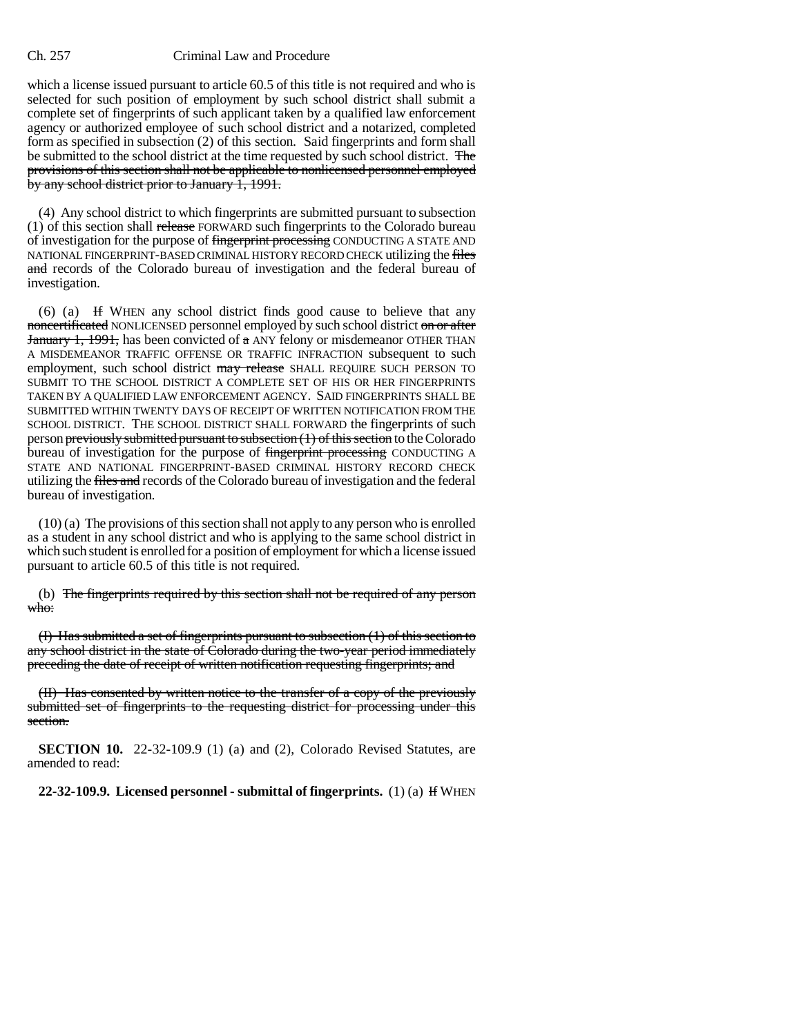## Ch. 257 Criminal Law and Procedure

which a license issued pursuant to article 60.5 of this title is not required and who is selected for such position of employment by such school district shall submit a complete set of fingerprints of such applicant taken by a qualified law enforcement agency or authorized employee of such school district and a notarized, completed form as specified in subsection (2) of this section. Said fingerprints and form shall be submitted to the school district at the time requested by such school district. The provisions of this section shall not be applicable to nonlicensed personnel employed by any school district prior to January 1, 1991.

(4) Any school district to which fingerprints are submitted pursuant to subsection (1) of this section shall release FORWARD such fingerprints to the Colorado bureau of investigation for the purpose of fingerprint processing CONDUCTING A STATE AND NATIONAL FINGERPRINT-BASED CRIMINAL HISTORY RECORD CHECK utilizing the files and records of the Colorado bureau of investigation and the federal bureau of investigation.

(6) (a) If WHEN any school district finds good cause to believe that any noncertificated NONLICENSED personnel employed by such school district on or after January 1, 1991, has been convicted of a ANY felony or misdemeanor OTHER THAN A MISDEMEANOR TRAFFIC OFFENSE OR TRAFFIC INFRACTION subsequent to such employment, such school district may release SHALL REQUIRE SUCH PERSON TO SUBMIT TO THE SCHOOL DISTRICT A COMPLETE SET OF HIS OR HER FINGERPRINTS TAKEN BY A QUALIFIED LAW ENFORCEMENT AGENCY. SAID FINGERPRINTS SHALL BE SUBMITTED WITHIN TWENTY DAYS OF RECEIPT OF WRITTEN NOTIFICATION FROM THE SCHOOL DISTRICT. THE SCHOOL DISTRICT SHALL FORWARD the fingerprints of such person previously submitted pursuant to subsection (1) of this section to the Colorado bureau of investigation for the purpose of fingerprint processing CONDUCTING A STATE AND NATIONAL FINGERPRINT-BASED CRIMINAL HISTORY RECORD CHECK utilizing the *files and records of the Colorado bureau of investigation and the federal* bureau of investigation.

(10) (a) The provisions of this section shall not apply to any person who is enrolled as a student in any school district and who is applying to the same school district in which such student is enrolled for a position of employment for which a license issued pursuant to article 60.5 of this title is not required.

(b) The fingerprints required by this section shall not be required of any person who:

(I) Has submitted a set of fingerprints pursuant to subsection (1) of this section to any school district in the state of Colorado during the two-year period immediately preceding the date of receipt of written notification requesting fingerprints; and

(II) Has consented by written notice to the transfer of a copy of the previously submitted set of fingerprints to the requesting district for processing under this section.

**SECTION 10.** 22-32-109.9 (1) (a) and (2), Colorado Revised Statutes, are amended to read:

**22-32-109.9. Licensed personnel - submittal of fingerprints.** (1) (a) If WHEN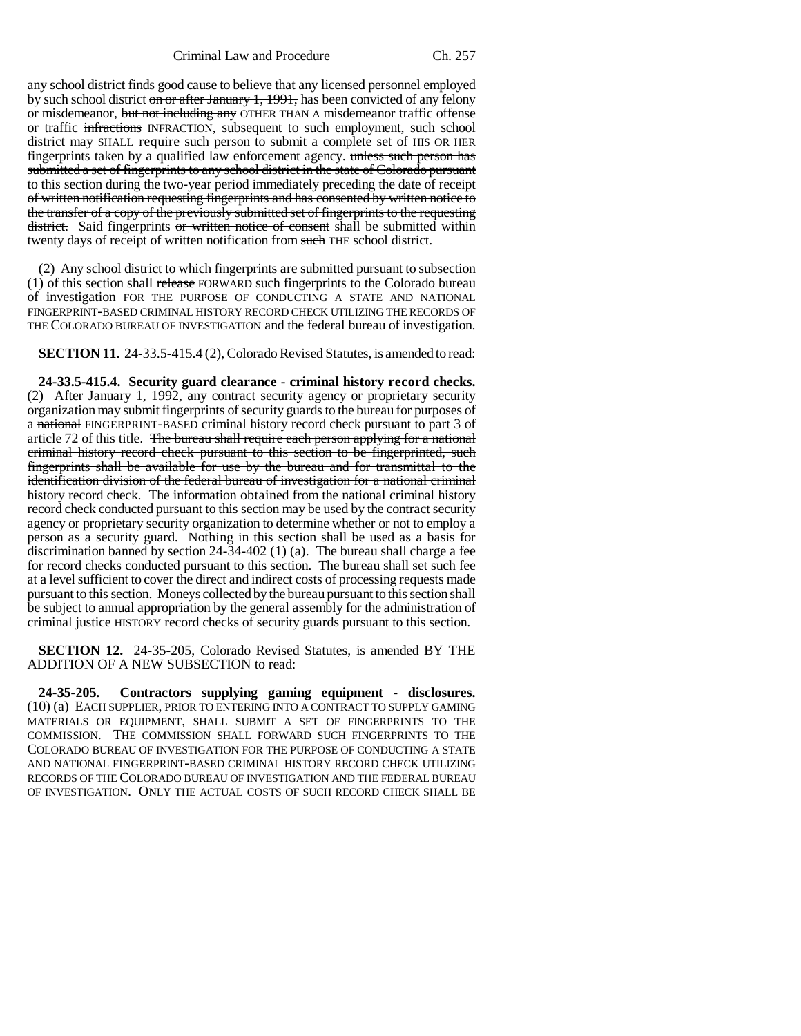any school district finds good cause to believe that any licensed personnel employed by such school district on or after January 1, 1991, has been convicted of any felony or misdemeanor, but not including any OTHER THAN A misdemeanor traffic offense or traffic infractions INFRACTION, subsequent to such employment, such school district may SHALL require such person to submit a complete set of HIS OR HER fingerprints taken by a qualified law enforcement agency. unless such person has submitted a set of fingerprints to any school district in the state of Colorado pursuant to this section during the two-year period immediately preceding the date of receipt of written notification requesting fingerprints and has consented by written notice to the transfer of a copy of the previously submitted set of fingerprints to the requesting district. Said fingerprints or written notice of consent shall be submitted within twenty days of receipt of written notification from such THE school district.

(2) Any school district to which fingerprints are submitted pursuant to subsection (1) of this section shall release FORWARD such fingerprints to the Colorado bureau of investigation FOR THE PURPOSE OF CONDUCTING A STATE AND NATIONAL FINGERPRINT-BASED CRIMINAL HISTORY RECORD CHECK UTILIZING THE RECORDS OF THE COLORADO BUREAU OF INVESTIGATION and the federal bureau of investigation.

**SECTION 11.** 24-33.5-415.4 (2), Colorado Revised Statutes, is amended to read:

**24-33.5-415.4. Security guard clearance - criminal history record checks.** (2) After January 1, 1992, any contract security agency or proprietary security organization may submit fingerprints of security guards to the bureau for purposes of a national FINGERPRINT-BASED criminal history record check pursuant to part 3 of article 72 of this title. The bureau shall require each person applying for a national criminal history record check pursuant to this section to be fingerprinted, such fingerprints shall be available for use by the bureau and for transmittal to the identification division of the federal bureau of investigation for a national criminal history record check. The information obtained from the national criminal history record check conducted pursuant to this section may be used by the contract security agency or proprietary security organization to determine whether or not to employ a person as a security guard. Nothing in this section shall be used as a basis for discrimination banned by section  $24-34-402$  (1) (a). The bureau shall charge a fee for record checks conducted pursuant to this section. The bureau shall set such fee at a level sufficient to cover the direct and indirect costs of processing requests made pursuant to this section. Moneys collected by the bureau pursuant to this section shall be subject to annual appropriation by the general assembly for the administration of criminal justice HISTORY record checks of security guards pursuant to this section.

**SECTION 12.** 24-35-205, Colorado Revised Statutes, is amended BY THE ADDITION OF A NEW SUBSECTION to read:

**24-35-205. Contractors supplying gaming equipment - disclosures.** (10) (a) EACH SUPPLIER, PRIOR TO ENTERING INTO A CONTRACT TO SUPPLY GAMING MATERIALS OR EQUIPMENT, SHALL SUBMIT A SET OF FINGERPRINTS TO THE COMMISSION. THE COMMISSION SHALL FORWARD SUCH FINGERPRINTS TO THE COLORADO BUREAU OF INVESTIGATION FOR THE PURPOSE OF CONDUCTING A STATE AND NATIONAL FINGERPRINT-BASED CRIMINAL HISTORY RECORD CHECK UTILIZING RECORDS OF THE COLORADO BUREAU OF INVESTIGATION AND THE FEDERAL BUREAU OF INVESTIGATION. ONLY THE ACTUAL COSTS OF SUCH RECORD CHECK SHALL BE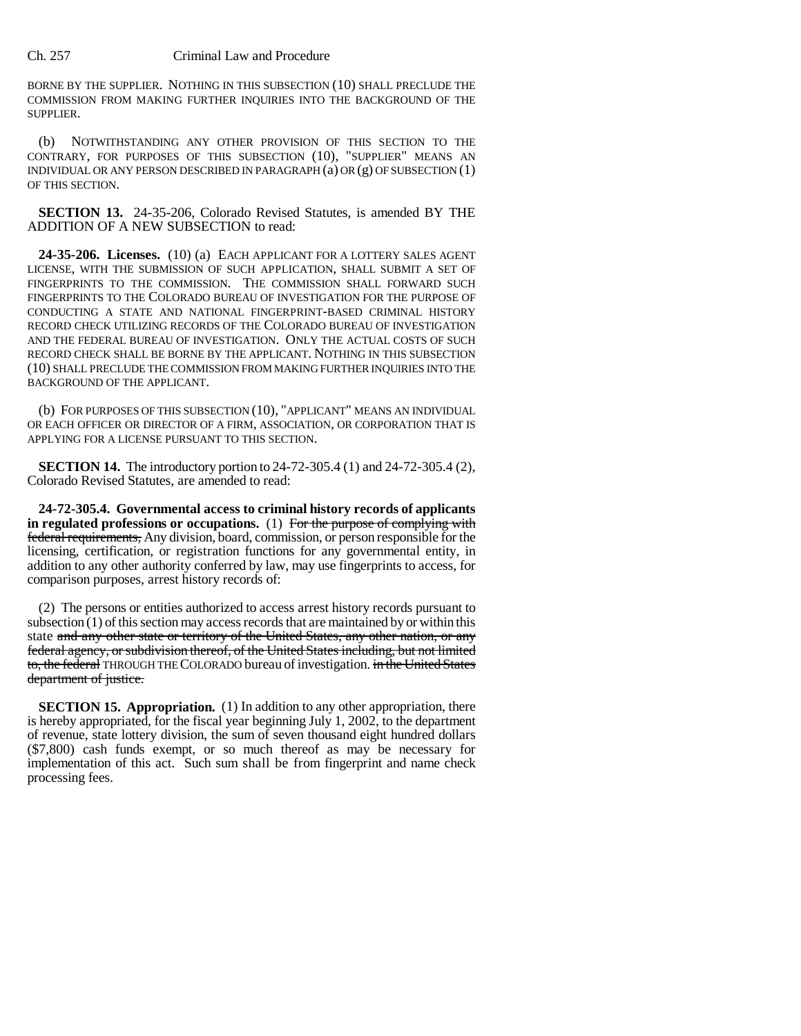### Ch. 257 Criminal Law and Procedure

BORNE BY THE SUPPLIER. NOTHING IN THIS SUBSECTION (10) SHALL PRECLUDE THE COMMISSION FROM MAKING FURTHER INQUIRIES INTO THE BACKGROUND OF THE SUPPLIER.

(b) NOTWITHSTANDING ANY OTHER PROVISION OF THIS SECTION TO THE CONTRARY, FOR PURPOSES OF THIS SUBSECTION (10), "SUPPLIER" MEANS AN INDIVIDUAL OR ANY PERSON DESCRIBED IN PARAGRAPH (a) OR (g) OF SUBSECTION (1) OF THIS SECTION.

**SECTION 13.** 24-35-206, Colorado Revised Statutes, is amended BY THE ADDITION OF A NEW SUBSECTION to read:

**24-35-206. Licenses.** (10) (a) EACH APPLICANT FOR A LOTTERY SALES AGENT LICENSE, WITH THE SUBMISSION OF SUCH APPLICATION, SHALL SUBMIT A SET OF FINGERPRINTS TO THE COMMISSION. THE COMMISSION SHALL FORWARD SUCH FINGERPRINTS TO THE COLORADO BUREAU OF INVESTIGATION FOR THE PURPOSE OF CONDUCTING A STATE AND NATIONAL FINGERPRINT-BASED CRIMINAL HISTORY RECORD CHECK UTILIZING RECORDS OF THE COLORADO BUREAU OF INVESTIGATION AND THE FEDERAL BUREAU OF INVESTIGATION. ONLY THE ACTUAL COSTS OF SUCH RECORD CHECK SHALL BE BORNE BY THE APPLICANT. NOTHING IN THIS SUBSECTION (10) SHALL PRECLUDE THE COMMISSION FROM MAKING FURTHER INQUIRIES INTO THE BACKGROUND OF THE APPLICANT.

(b) FOR PURPOSES OF THIS SUBSECTION (10), "APPLICANT" MEANS AN INDIVIDUAL OR EACH OFFICER OR DIRECTOR OF A FIRM, ASSOCIATION, OR CORPORATION THAT IS APPLYING FOR A LICENSE PURSUANT TO THIS SECTION.

**SECTION 14.** The introductory portion to 24-72-305.4 (1) and 24-72-305.4 (2), Colorado Revised Statutes, are amended to read:

**24-72-305.4. Governmental access to criminal history records of applicants in regulated professions or occupations.** (1) For the purpose of complying with federal requirements, Any division, board, commission, or person responsible for the licensing, certification, or registration functions for any governmental entity, in addition to any other authority conferred by law, may use fingerprints to access, for comparison purposes, arrest history records of:

(2) The persons or entities authorized to access arrest history records pursuant to subsection  $(1)$  of this section may access records that are maintained by or within this state and any other state or territory of the United States, any other nation, or any federal agency, or subdivision thereof, of the United States including, but not limited to, the federal THROUGH THE COLORADO bureau of investigation. in the United States department of justice.

**SECTION 15. Appropriation.** (1) In addition to any other appropriation, there is hereby appropriated, for the fiscal year beginning July 1, 2002, to the department of revenue, state lottery division, the sum of seven thousand eight hundred dollars (\$7,800) cash funds exempt, or so much thereof as may be necessary for implementation of this act. Such sum shall be from fingerprint and name check processing fees.